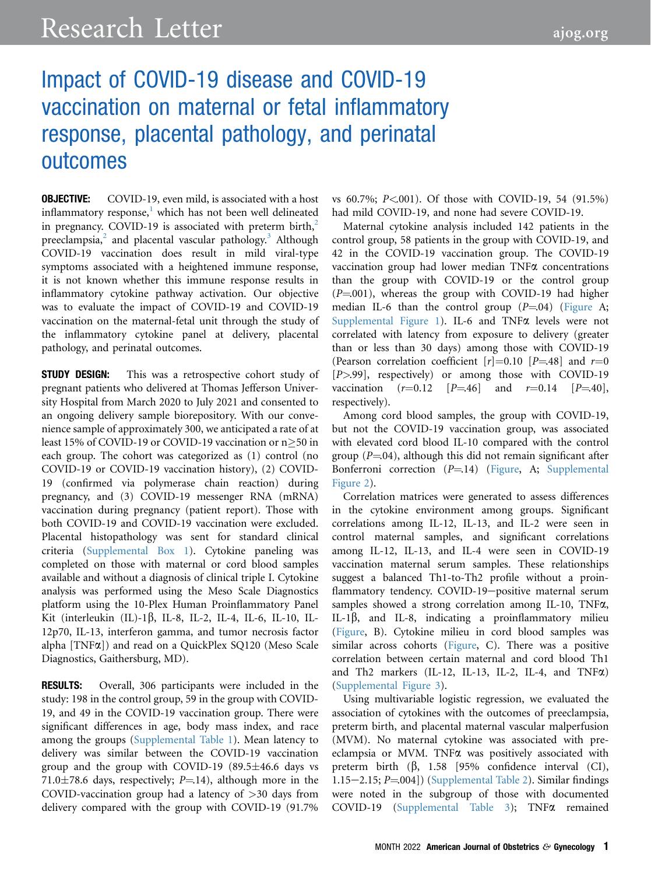# Impact of COVID-19 disease and COVID-19 vaccination on maternal or fetal inflammatory response, placental pathology, and perinatal outcomes

**OBJECTIVE:** COVID-19, even mild, is associated with a host inflammatory response, $<sup>1</sup>$  $<sup>1</sup>$  $<sup>1</sup>$  which has not been well delineated</sup> in pregnancy. COVID-19 is associated with preterm birth, $2$ preeclampsia, $^2$  $^2$  and placental vascular pathology.<sup>[3](#page-3-2)</sup> Although COVID-19 vaccination does result in mild viral-type symptoms associated with a heightened immune response, it is not known whether this immune response results in inflammatory cytokine pathway activation. Our objective was to evaluate the impact of COVID-19 and COVID-19 vaccination on the maternal-fetal unit through the study of the inflammatory cytokine panel at delivery, placental pathology, and perinatal outcomes.

**STUDY DESIGN:** This was a retrospective cohort study of pregnant patients who delivered at Thomas Jefferson University Hospital from March 2020 to July 2021 and consented to an ongoing delivery sample biorepository. With our convenience sample of approximately 300, we anticipated a rate of at least 15% of COVID-19 or COVID-19 vaccination or  $n \geq 50$  in each group. The cohort was categorized as (1) control (no COVID-19 or COVID-19 vaccination history), (2) COVID-19 (confirmed via polymerase chain reaction) during pregnancy, and (3) COVID-19 messenger RNA (mRNA) vaccination during pregnancy (patient report). Those with both COVID-19 and COVID-19 vaccination were excluded. Placental histopathology was sent for standard clinical criteria (Supplemental Box 1). Cytokine paneling was completed on those with maternal or cord blood samples available and without a diagnosis of clinical triple I. Cytokine analysis was performed using the Meso Scale Diagnostics platform using the 10-Plex Human Proinflammatory Panel Kit (interleukin (IL)-1 $\beta$ , IL-8, IL-2, IL-4, IL-6, IL-10, IL-12p70, IL-13, interferon gamma, and tumor necrosis factor alpha [TNFa]) and read on a QuickPlex SQ120 (Meso Scale Diagnostics, Gaithersburg, MD).

RESULTS: Overall, 306 participants were included in the study: 198 in the control group, 59 in the group with COVID-19, and 49 in the COVID-19 vaccination group. There were significant differences in age, body mass index, and race among the groups (Supplemental Table 1). Mean latency to delivery was similar between the COVID-19 vaccination group and the group with COVID-19  $(89.5 \pm 46.6$  days vs 71.0 $\pm$ 78.6 days, respectively; P=.14), although more in the COVID-vaccination group had a latency of  $>$ 30 days from delivery compared with the group with COVID-19 (91.7%

vs 60.7%; P<.001). Of those with COVID-19, 54 (91.5%) had mild COVID-19, and none had severe COVID-19.

Maternal cytokine analysis included 142 patients in the control group, 58 patients in the group with COVID-19, and 42 in the COVID-19 vaccination group. The COVID-19 vaccination group had lower median TNF $\alpha$  concentrations than the group with COVID-19 or the control group  $(P=001)$ , whereas the group with COVID-19 had higher median IL-6 than the control group  $(P=04)$  [\(Figure](#page-1-0) A; Supplemental Figure 1). IL-6 and TNF $\alpha$  levels were not correlated with latency from exposure to delivery (greater than or less than 30 days) among those with COVID-19 (Pearson correlation coefficient  $[r]=0.10$   $[P=.48]$  and  $r=0$  $[P>0.99]$ , respectively) or among those with COVID-19 vaccination  $(r=0.12$   $[P=46]$  and  $r=0.14$   $[P=40]$ , respectively).

Among cord blood samples, the group with COVID-19, but not the COVID-19 vaccination group, was associated with elevated cord blood IL-10 compared with the control group  $(P=04)$ , although this did not remain significant after Bonferroni correction  $(P=14)$  [\(Figure](#page-1-0), A; Supplemental Figure 2).

Correlation matrices were generated to assess differences in the cytokine environment among groups. Significant correlations among IL-12, IL-13, and IL-2 were seen in control maternal samples, and significant correlations among IL-12, IL-13, and IL-4 were seen in COVID-19 vaccination maternal serum samples. These relationships suggest a balanced Th1-to-Th2 profile without a proinflammatory tendency. COVID-19-positive maternal serum samples showed a strong correlation among IL-10, TNFa, IL-1 $\beta$ , and IL-8, indicating a proinflammatory milieu ([Figure,](#page-1-0) B). Cytokine milieu in cord blood samples was similar across cohorts ([Figure,](#page-1-0) C). There was a positive correlation between certain maternal and cord blood Th1 and Th2 markers (IL-12, IL-13, IL-2, IL-4, and TNF $\alpha$ ) (Supplemental Figure 3).

Using multivariable logistic regression, we evaluated the association of cytokines with the outcomes of preeclampsia, preterm birth, and placental maternal vascular malperfusion (MVM). No maternal cytokine was associated with preeclampsia or MVM. TNFa was positively associated with preterm birth  $(\beta, 1.58)$  [95% confidence interval (CI), 1.15 $-2.15$ ; P $=$ .004]) (Supplemental Table 2). Similar findings were noted in the subgroup of those with documented COVID-19 (Supplemental Table 3); TNF $\alpha$  remained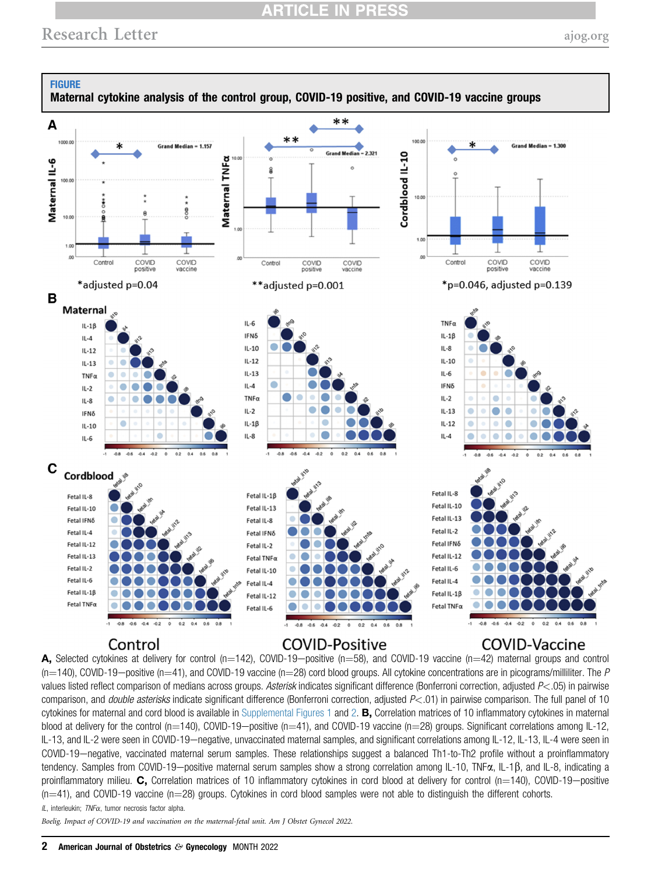## **ARTICLE IN PRESS**

<span id="page-1-0"></span>

A, Selected cytokines at delivery for control (n=142), COVID-19-positive (n=58), and COVID-19 vaccine (n=42) maternal groups and control  $(n=140)$ , COVID-19-positive (n=41), and COVID-19 vaccine (n=28) cord blood groups. All cytokine concentrations are in picograms/milliliter. The P values listed reflect comparison of medians across groups. Asterisk indicates significant difference (Bonferroni correction, adjusted P<.05) in pairwise comparison, and *double asterisks* indicate significant difference (Bonferroni correction, adjusted  $P \lt 0.01$ ) in pairwise comparison. The full panel of 10 cytokines for maternal and cord blood is available in Supplemental Figures 1 and 2.  $B$ , Correlation matrices of 10 inflammatory cytokines in maternal blood at delivery for the control (n=140), COVID-19-positive (n=41), and COVID-19 vaccine (n=28) groups. Significant correlations among IL-12, IL-13, and IL-2 were seen in COVID-19—negative, unvaccinated maternal samples, and significant correlations among IL-12, IL-13, IL-4 were seen in COVID-19-negative, vaccinated maternal serum samples. These relationships suggest a balanced Th1-to-Th2 profile without a proinflammatory tendency. Samples from COVID-19-positive maternal serum samples show a strong correlation among IL-10, TNF $\alpha$ , IL-1 $\beta$ , and IL-8, indicating a proinflammatory milieu. C, Correlation matrices of 10 inflammatory cytokines in cord blood at delivery for control (n=140), COVID-19-positive  $(n=41)$ , and COVID-19 vaccine  $(n=28)$  groups. Cytokines in cord blood samples were not able to distinguish the different cohorts.

 $IL$ , interleukin;  $TNF\alpha$ , tumor necrosis factor alpha.

Boelig. Impact of COVID-19 and vaccination on the maternal-fetal unit. Am J Obstet Gynecol 2022.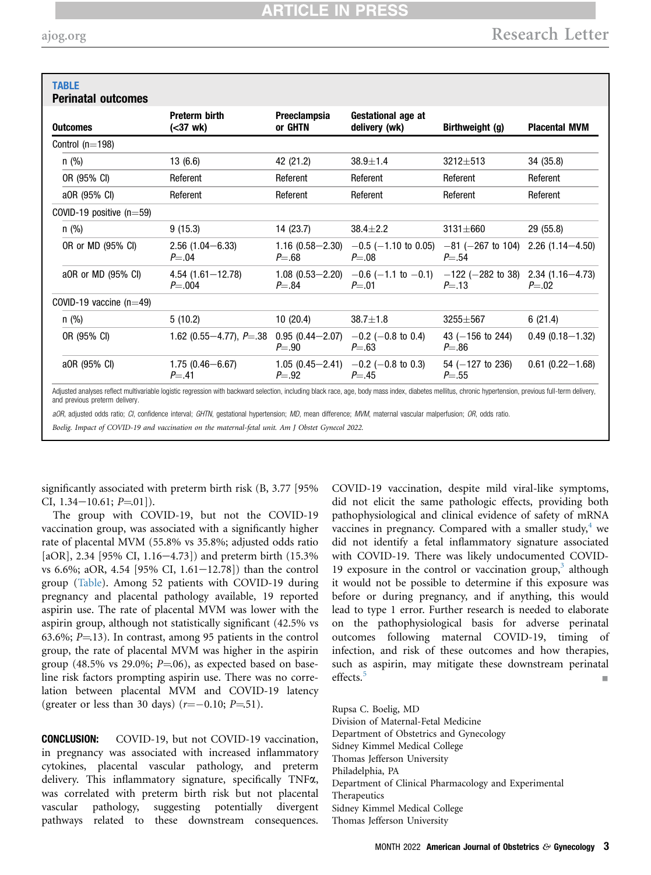<span id="page-2-0"></span>

| <b>TABLE</b><br><b>Perinatal outcomes</b> |                                    |                                  |                                                                 |                                                   |                        |
|-------------------------------------------|------------------------------------|----------------------------------|-----------------------------------------------------------------|---------------------------------------------------|------------------------|
| <b>Outcomes</b>                           | <b>Preterm birth</b><br>(<37 wk)   | Preeclampsia<br>or GHTN          | Gestational age at<br>delivery (wk)                             | Birthweight (g)                                   | <b>Placental MVM</b>   |
| Control $(n=198)$                         |                                    |                                  |                                                                 |                                                   |                        |
| $n$ (%)                                   | 13(6.6)                            | 42 (21.2)                        | $38.9 \pm 1.4$                                                  | 3212±513                                          | 34 (35.8)              |
| OR (95% CI)                               | Referent                           | Referent                         | Referent                                                        | Referent                                          | Referent               |
| a0R (95% CI)                              | Referent                           | Referent                         | Referent                                                        | Referent                                          | Referent               |
| COVID-19 positive $(n=59)$                |                                    |                                  |                                                                 |                                                   |                        |
| $n$ (%)                                   | 9(15.3)                            | 14 (23.7)                        | $38.4 \pm 2.2$                                                  | $3131 \pm 660$                                    | 29 (55.8)              |
| OR or MD (95% CI)                         | $2.56(1.04 - 6.33)$<br>$P = .04$   | $1.16(0.58 - 2.30)$<br>$P = .68$ | $-0.5$ (-1.10 to 0.05) $-81$ (-267 to 104)<br>$P = 0.08$        | $P = .54$                                         | $2.26(1.14 - 4.50)$    |
| a0R or MD (95% CI)                        | $4.54(1.61 - 12.78)$<br>$P = .004$ | $1.08(0.53 - 2.20)$<br>$P = .84$ | $-0.6$ ( $-1.1$ to $-0.1$ )<br>$P = .01$                        | $-122$ (-282 to 38) 2.34 (1.16-4.73)<br>$P = .13$ | $P = .02$              |
| COVID-19 vaccine $(n=49)$                 |                                    |                                  |                                                                 |                                                   |                        |
| $n$ (%)                                   | 5(10.2)                            | 10(20.4)                         | $38.7 \pm 1.8$                                                  | $3255 \pm 567$                                    | 6(21.4)                |
| OR (95% CI)                               | 1.62 (0.55 $-4.77$ ), $P = .38$    | $0.95(0.44 - 2.07)$<br>$P = .90$ | $-0.2$ ( $-0.8$ to 0.4)<br>$P = .63$                            | 43 $(-156$ to 244)<br>$P = .86$                   | $0.49(0.18 - 1.32)$    |
| a0R (95% CI)                              | $1.75(0.46 - 6.67)$<br>$P = .41$   | $P = .92$                        | 1.05 $(0.45-2.41)$ $-0.2$ $(-0.8 \text{ to } 0.3)$<br>$P = .45$ | $54 (-127 \text{ to } 236)$<br>$P = .55$          | $0.61$ $(0.22 - 1.68)$ |

aOR, adjusted odds ratio; CI, confidence interval; GHTN, gestational hypertension; MD, mean difference; MVM, maternal vascular malperfusion; OR, odds ratio.

Boelig. Impact of COVID-19 and vaccination on the maternal-fetal unit. Am J Obstet Gynecol 2022.

significantly associated with preterm birth risk (B, 3.77 [95% CI,  $1.34-10.61$ ;  $P=.01$ ]).

The group with COVID-19, but not the COVID-19 vaccination group, was associated with a significantly higher rate of placental MVM (55.8% vs 35.8%; adjusted odds ratio [aOR], 2.34 [95% CI, 1.16–4.73]) and preterm birth  $(15.3\%$ vs 6.6%; aOR, 4.54 [95% CI, 1.61-12.78]) than the control group ([Table](#page-2-0)). Among 52 patients with COVID-19 during pregnancy and placental pathology available, 19 reported aspirin use. The rate of placental MVM was lower with the aspirin group, although not statistically significant (42.5% vs 63.6%;  $P = 13$ ). In contrast, among 95 patients in the control group, the rate of placental MVM was higher in the aspirin group (48.5% vs 29.0%;  $P=06$ ), as expected based on baseline risk factors prompting aspirin use. There was no correlation between placental MVM and COVID-19 latency (greater or less than 30 days)  $(r=-0.10; P=51)$ .

CONCLUSION: COVID-19, but not COVID-19 vaccination, in pregnancy was associated with increased inflammatory cytokines, placental vascular pathology, and preterm delivery. This inflammatory signature, specifically TNFa, was correlated with preterm birth risk but not placental vascular pathology, suggesting potentially divergent pathways related to these downstream consequences.

COVID-19 vaccination, despite mild viral-like symptoms, did not elicit the same pathologic effects, providing both pathophysiological and clinical evidence of safety of mRNA vaccines in pregnancy. Compared with a smaller study, $4$  we did not identify a fetal inflammatory signature associated with COVID-19. There was likely undocumented COVID-19 exposure in the control or vaccination group, $3$  although it would not be possible to determine if this exposure was before or during pregnancy, and if anything, this would lead to type 1 error. Further research is needed to elaborate on the pathophysiological basis for adverse perinatal outcomes following maternal COVID-19, timing of infection, and risk of these outcomes and how therapies, such as aspirin, may mitigate these downstream perinatal effects.<sup>[5](#page-3-4)</sup>

Rupsa C. Boelig, MD Division of Maternal-Fetal Medicine Department of Obstetrics and Gynecology Sidney Kimmel Medical College Thomas Jefferson University Philadelphia, PA Department of Clinical Pharmacology and Experimental Therapeutics Sidney Kimmel Medical College Thomas Jefferson University